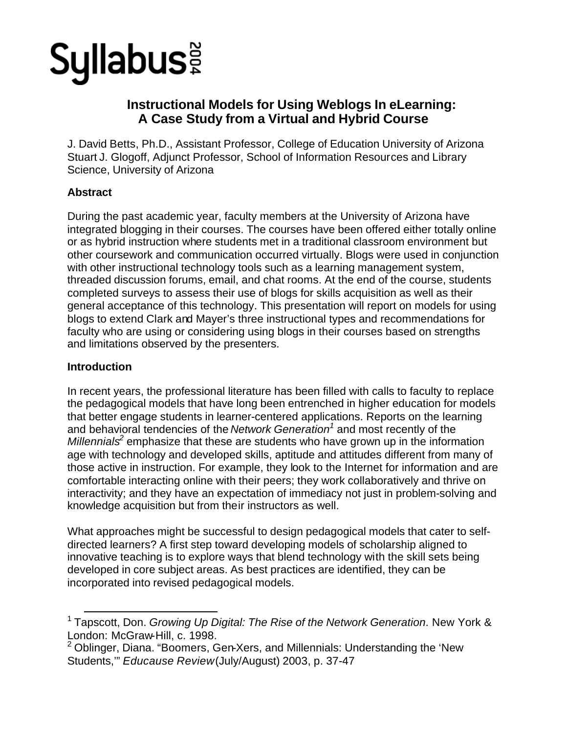# **Syllabus:**

## **Instructional Models for Using Weblogs In eLearning: A Case Study from a Virtual and Hybrid Course**

J. David Betts, Ph.D., Assistant Professor, College of Education University of Arizona Stuart J. Glogoff, Adjunct Professor, School of Information Resources and Library Science, University of Arizona

## **Abstract**

During the past academic year, faculty members at the University of Arizona have integrated blogging in their courses. The courses have been offered either totally online or as hybrid instruction where students met in a traditional classroom environment but other coursework and communication occurred virtually. Blogs were used in conjunction with other instructional technology tools such as a learning management system, threaded discussion forums, email, and chat rooms. At the end of the course, students completed surveys to assess their use of blogs for skills acquisition as well as their general acceptance of this technology. This presentation will report on models for using blogs to extend Clark and Mayer's three instructional types and recommendations for faculty who are using or considering using blogs in their courses based on strengths and limitations observed by the presenters.

## **Introduction**

In recent years, the professional literature has been filled with calls to faculty to replace the pedagogical models that have long been entrenched in higher education for models that better engage students in learner-centered applications. Reports on the learning and behavioral tendencies of the *Network Generation<sup>1</sup>* and most recently of the Millennials<sup>2</sup> emphasize that these are students who have grown up in the information age with technology and developed skills, aptitude and attitudes different from many of those active in instruction. For example, they look to the Internet for information and are comfortable interacting online with their peers; they work collaboratively and thrive on interactivity; and they have an expectation of immediacy not just in problem-solving and knowledge acquisition but from their instructors as well.

What approaches might be successful to design pedagogical models that cater to selfdirected learners? A first step toward developing models of scholarship aligned to innovative teaching is to explore ways that blend technology with the skill sets being developed in core subject areas. As best practices are identified, they can be incorporated into revised pedagogical models.

<sup>&</sup>lt;sup>1</sup> Tapscott, Don. *Growing Up Digital: The Rise of the Network Generation*. New York & London: McGraw-Hill, c. 1998.

 $2$  Oblinger, Diana. "Boomers, Gen-Xers, and Millennials: Understanding the 'New Students,'" *Educause Review* (July/August) 2003, p. 37-47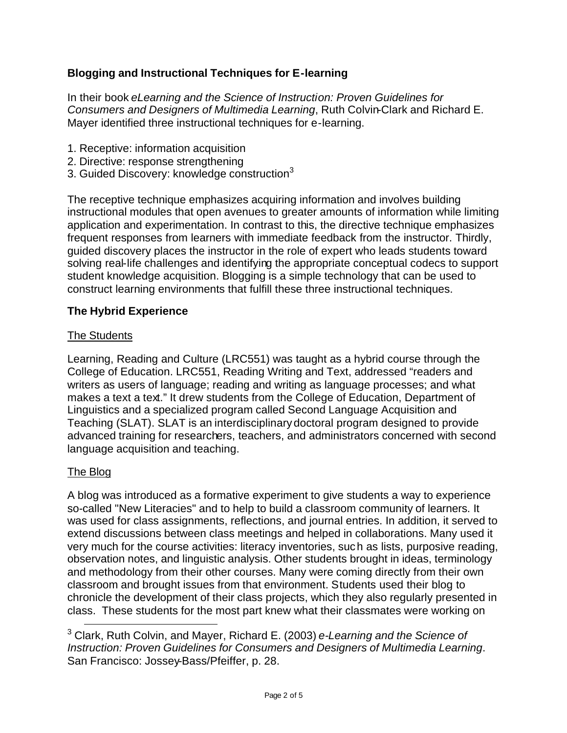## **Blogging and Instructional Techniques for E-learning**

In their book *eLearning and the Science of Instruction: Proven Guidelines for Consumers and Designers of Multimedia Learning*, Ruth Colvin-Clark and Richard E. Mayer identified three instructional techniques for e-learning.

- 1. Receptive: information acquisition
- 2. Directive: response strengthening
- 3. Guided Discovery: knowledge construction<sup>3</sup>

The receptive technique emphasizes acquiring information and involves building instructional modules that open avenues to greater amounts of information while limiting application and experimentation. In contrast to this, the directive technique emphasizes frequent responses from learners with immediate feedback from the instructor. Thirdly, guided discovery places the instructor in the role of expert who leads students toward solving real-life challenges and identifying the appropriate conceptual codecs to support student knowledge acquisition. Blogging is a simple technology that can be used to construct learning environments that fulfill these three instructional techniques.

## **The Hybrid Experience**

#### The Students

Learning, Reading and Culture (LRC551) was taught as a hybrid course through the College of Education. LRC551, Reading Writing and Text, addressed "readers and writers as users of language; reading and writing as language processes; and what makes a text a text." It drew students from the College of Education, Department of Linguistics and a specialized program called Second Language Acquisition and Teaching (SLAT). SLAT is an interdisciplinarydoctoral program designed to provide advanced training for researchers, teachers, and administrators concerned with second language acquisition and teaching.

#### The Blog

A blog was introduced as a formative experiment to give students a way to experience so-called "New Literacies" and to help to build a classroom community of learners. It was used for class assignments, reflections, and journal entries. In addition, it served to extend discussions between class meetings and helped in collaborations. Many used it very much for the course activities: literacy inventories, such as lists, purposive reading, observation notes, and linguistic analysis. Other students brought in ideas, terminology and methodology from their other courses. Many were coming directly from their own classroom and brought issues from that environment. Students used their blog to chronicle the development of their class projects, which they also regularly presented in class. These students for the most part knew what their classmates were working on

<sup>3</sup> Clark, Ruth Colvin, and Mayer, Richard E. (2003) *e-Learning and the Science of Instruction: Proven Guidelines for Consumers and Designers of Multimedia Learning*. San Francisco: Jossey-Bass/Pfeiffer, p. 28.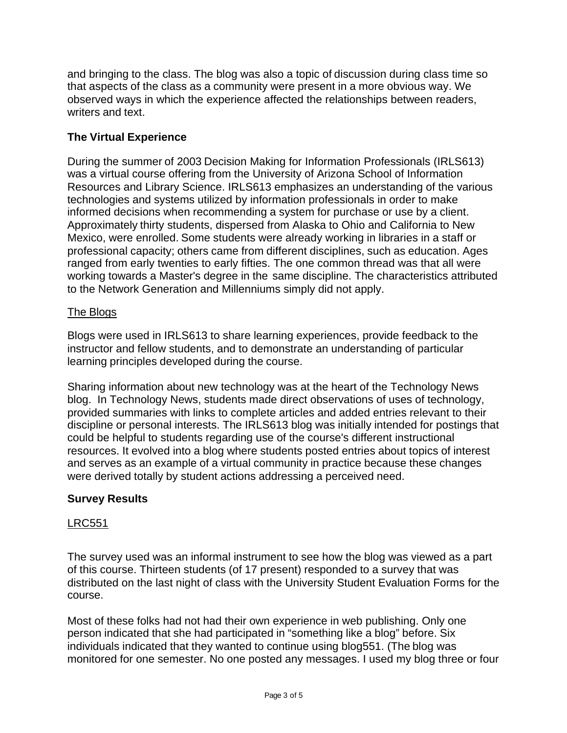and bringing to the class. The blog was also a topic of discussion during class time so that aspects of the class as a community were present in a more obvious way. We observed ways in which the experience affected the relationships between readers, writers and text.

## **The Virtual Experience**

During the summer of 2003 Decision Making for Information Professionals (IRLS613) was a virtual course offering from the University of Arizona School of Information Resources and Library Science. IRLS613 emphasizes an understanding of the various technologies and systems utilized by information professionals in order to make informed decisions when recommending a system for purchase or use by a client. Approximately thirty students, dispersed from Alaska to Ohio and California to New Mexico, were enrolled. Some students were already working in libraries in a staff or professional capacity; others came from different disciplines, such as education. Ages ranged from early twenties to early fifties. The one common thread was that all were working towards a Master's degree in the same discipline. The characteristics attributed to the Network Generation and Millenniums simply did not apply.

## The Blogs

Blogs were used in IRLS613 to share learning experiences, provide feedback to the instructor and fellow students, and to demonstrate an understanding of particular learning principles developed during the course.

Sharing information about new technology was at the heart of the Technology News blog. In Technology News, students made direct observations of uses of technology, provided summaries with links to complete articles and added entries relevant to their discipline or personal interests. The IRLS613 blog was initially intended for postings that could be helpful to students regarding use of the course's different instructional resources. It evolved into a blog where students posted entries about topics of interest and serves as an example of a virtual community in practice because these changes were derived totally by student actions addressing a perceived need.

## **Survey Results**

#### LRC551

The survey used was an informal instrument to see how the blog was viewed as a part of this course. Thirteen students (of 17 present) responded to a survey that was distributed on the last night of class with the University Student Evaluation Forms for the course.

Most of these folks had not had their own experience in web publishing. Only one person indicated that she had participated in "something like a blog" before. Six individuals indicated that they wanted to continue using blog551. (The blog was monitored for one semester. No one posted any messages. I used my blog three or four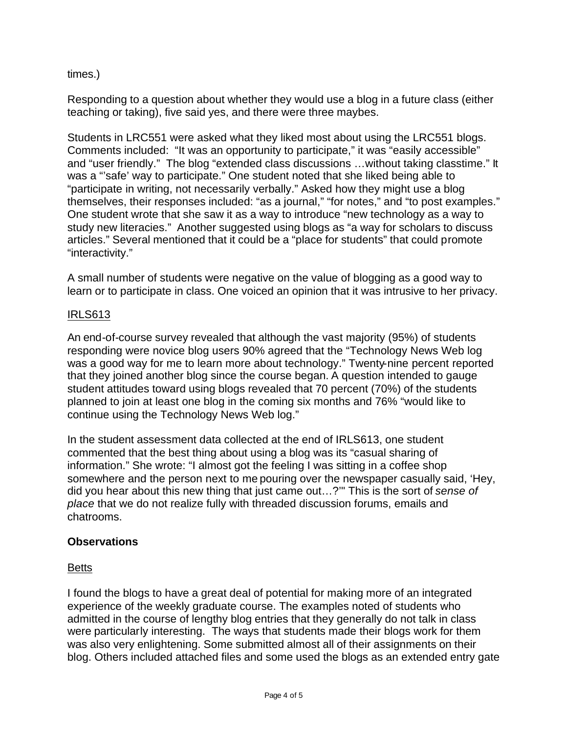## times.)

Responding to a question about whether they would use a blog in a future class (either teaching or taking), five said yes, and there were three maybes.

Students in LRC551 were asked what they liked most about using the LRC551 blogs. Comments included: "It was an opportunity to participate," it was "easily accessible" and "user friendly." The blog "extended class discussions …without taking classtime." It was a "'safe' way to participate." One student noted that she liked being able to "participate in writing, not necessarily verbally." Asked how they might use a blog themselves, their responses included: "as a journal," "for notes," and "to post examples." One student wrote that she saw it as a way to introduce "new technology as a way to study new literacies." Another suggested using blogs as "a way for scholars to discuss articles." Several mentioned that it could be a "place for students" that could promote "interactivity."

A small number of students were negative on the value of blogging as a good way to learn or to participate in class. One voiced an opinion that it was intrusive to her privacy.

#### IRLS613

An end-of-course survey revealed that although the vast majority (95%) of students responding were novice blog users 90% agreed that the "Technology News Web log was a good way for me to learn more about technology." Twenty-nine percent reported that they joined another blog since the course began. A question intended to gauge student attitudes toward using blogs revealed that 70 percent (70%) of the students planned to join at least one blog in the coming six months and 76% "would like to continue using the Technology News Web log."

In the student assessment data collected at the end of IRLS613, one student commented that the best thing about using a blog was its "casual sharing of information." She wrote: "I almost got the feeling I was sitting in a coffee shop somewhere and the person next to me pouring over the newspaper casually said, 'Hey, did you hear about this new thing that just came out…?'" This is the sort of *sense of place* that we do not realize fully with threaded discussion forums, emails and chatrooms.

#### **Observations**

#### Betts

I found the blogs to have a great deal of potential for making more of an integrated experience of the weekly graduate course. The examples noted of students who admitted in the course of lengthy blog entries that they generally do not talk in class were particularly interesting. The ways that students made their blogs work for them was also very enlightening. Some submitted almost all of their assignments on their blog. Others included attached files and some used the blogs as an extended entry gate